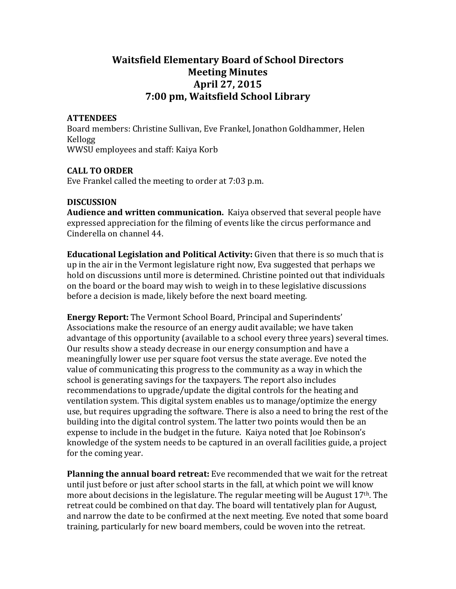# **Waitsfield\*Elementary\*Board\*of\*School\*Directors Meeting Minutes** April 27, 2015 **7:00 pm, Waitsfield School Library**

#### **ATTENDEES**

Board members: Christine Sullivan, Eve Frankel, Jonathon Goldhammer, Helen Kellogg WWSU employees and staff: Kaiya Korb

# **CALL\*TO\*ORDER**

Eve Frankel called the meeting to order at 7:03 p.m.

# **DISCUSSION**

Audience and written communication. Kaiya observed that several people have expressed appreciation for the filming of events like the circus performance and Cinderella on channel 44.

**Educational Legislation and Political Activity:** Given that there is so much that is up in the air in the Vermont legislature right now, Eva suggested that perhaps we hold on discussions until more is determined. Christine pointed out that individuals on the board or the board may wish to weigh in to these legislative discussions before a decision is made, likely before the next board meeting.

**Energy Report:** The Vermont School Board, Principal and Superindents' Associations make the resource of an energy audit available; we have taken advantage of this opportunity (available to a school every three years) several times. Our results show a steady decrease in our energy consumption and have a meaningfully lower use per square foot versus the state average. Eve noted the value of communicating this progress to the community as a way in which the school is generating savings for the taxpayers. The report also includes recommendations to upgrade/update the digital controls for the heating and ventilation system. This digital system enables us to manage/optimize the energy use, but requires upgrading the software. There is also a need to bring the rest of the building into the digital control system. The latter two points would then be an expense to include in the budget in the future. Kaiya noted that Joe Robinson's knowledge of the system needs to be captured in an overall facilities guide, a project for the coming year.

**Planning the annual board retreat:** Eve recommended that we wait for the retreat until just before or just after school starts in the fall, at which point we will know more about decisions in the legislature. The regular meeting will be August  $17<sup>th</sup>$ . The retreat could be combined on that day. The board will tentatively plan for August, and narrow the date to be confirmed at the next meeting. Eve noted that some board training, particularly for new board members, could be woven into the retreat.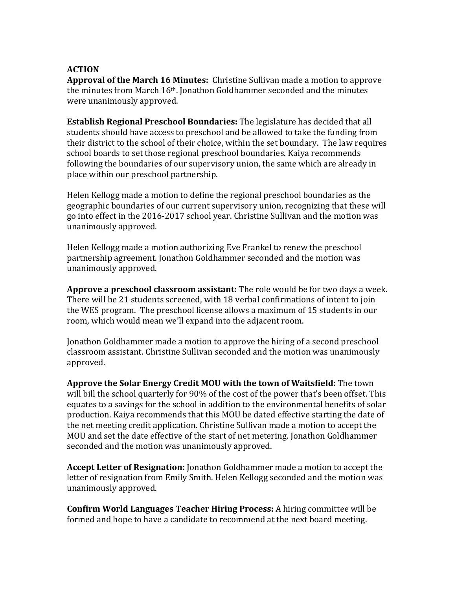#### **ACTION**

Approval of the March 16 Minutes: Christine Sullivan made a motion to approve the minutes from March 16<sup>th</sup>. Jonathon Goldhammer seconded and the minutes were unanimously approved.

**Establish Regional Preschool Boundaries:** The legislature has decided that all students should have access to preschool and be allowed to take the funding from their district to the school of their choice, within the set boundary. The law requires school boards to set those regional preschool boundaries. Kaiya recommends following the boundaries of our supervisory union, the same which are already in place within our preschool partnership.

Helen Kellogg made a motion to define the regional preschool boundaries as the geographic boundaries of our current supervisory union, recognizing that these will go into effect in the 2016-2017 school year. Christine Sullivan and the motion was unanimously approved.

Helen Kellogg made a motion authorizing Eve Frankel to renew the preschool partnership agreement. Jonathon Goldhammer seconded and the motion was unanimously approved.

Approve a preschool classroom assistant: The role would be for two days a week. There will be 21 students screened, with 18 verbal confirmations of intent to join the WES program. The preschool license allows a maximum of 15 students in our room, which would mean we'll expand into the adjacent room.

Jonathon Goldhammer made a motion to approve the hiring of a second preschool classroom assistant. Christine Sullivan seconded and the motion was unanimously approved.

**Approve the Solar Energy Credit MOU with the town of Waitsfield:** The town will bill the school quarterly for 90% of the cost of the power that's been offset. This equates to a savings for the school in addition to the environmental benefits of solar production. Kaiya recommends that this MOU be dated effective starting the date of the net meeting credit application. Christine Sullivan made a motion to accept the MOU and set the date effective of the start of net metering. Jonathon Goldhammer seconded and the motion was unanimously approved.

**Accept Letter of Resignation:** Jonathon Goldhammer made a motion to accept the letter of resignation from Emily Smith. Helen Kellogg seconded and the motion was unanimously approved.

**Confirm World Languages Teacher Hiring Process:** A hiring committee will be formed and hope to have a candidate to recommend at the next board meeting.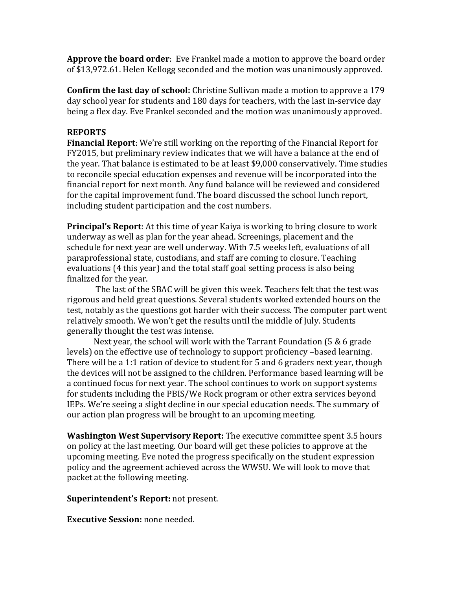**Approve the board order**: Eve Frankel made a motion to approve the board order of \$13,972.61. Helen Kellogg seconded and the motion was unanimously approved.

**Confirm the last day of school:** Christine Sullivan made a motion to approve a 179 day school year for students and 180 days for teachers, with the last in-service day being a flex day. Eve Frankel seconded and the motion was unanimously approved.

# **REPORTS**

**Financial Report**: We're still working on the reporting of the Financial Report for FY2015, but preliminary review indicates that we will have a balance at the end of the year. That balance is estimated to be at least \$9,000 conservatively. Time studies to reconcile special education expenses and revenue will be incorporated into the financial report for next month. Any fund balance will be reviewed and considered for the capital improvement fund. The board discussed the school lunch report, including student participation and the cost numbers.

**Principal's Report:** At this time of year Kaiya is working to bring closure to work underway as well as plan for the year ahead. Screenings, placement and the schedule for next year are well underway. With 7.5 weeks left, evaluations of all paraprofessional state, custodians, and staff are coming to closure. Teaching evaluations (4 this year) and the total staff goal setting process is also being finalized for the year.

The last of the SBAC will be given this week. Teachers felt that the test was rigorous and held great questions. Several students worked extended hours on the test, notably as the questions got harder with their success. The computer part went relatively smooth. We won't get the results until the middle of July. Students generally thought the test was intense.

Next year, the school will work with the Tarrant Foundation (5 & 6 grade levels) on the effective use of technology to support proficiency –based learning. There will be a 1:1 ration of device to student for 5 and 6 graders next year, though the devices will not be assigned to the children. Performance based learning will be a continued focus for next year. The school continues to work on support systems for students including the PBIS/We Rock program or other extra services beyond IEPs. We're seeing a slight decline in our special education needs. The summary of our action plan progress will be brought to an upcoming meeting.

**Washington West Supervisory Report:** The executive committee spent 3.5 hours on policy at the last meeting. Our board will get these policies to approve at the upcoming meeting. Eve noted the progress specifically on the student expression policy and the agreement achieved across the WWSU. We will look to move that packet at the following meeting.

# **Superintendent's Report:** not present.

**Executive Session:** none needed.